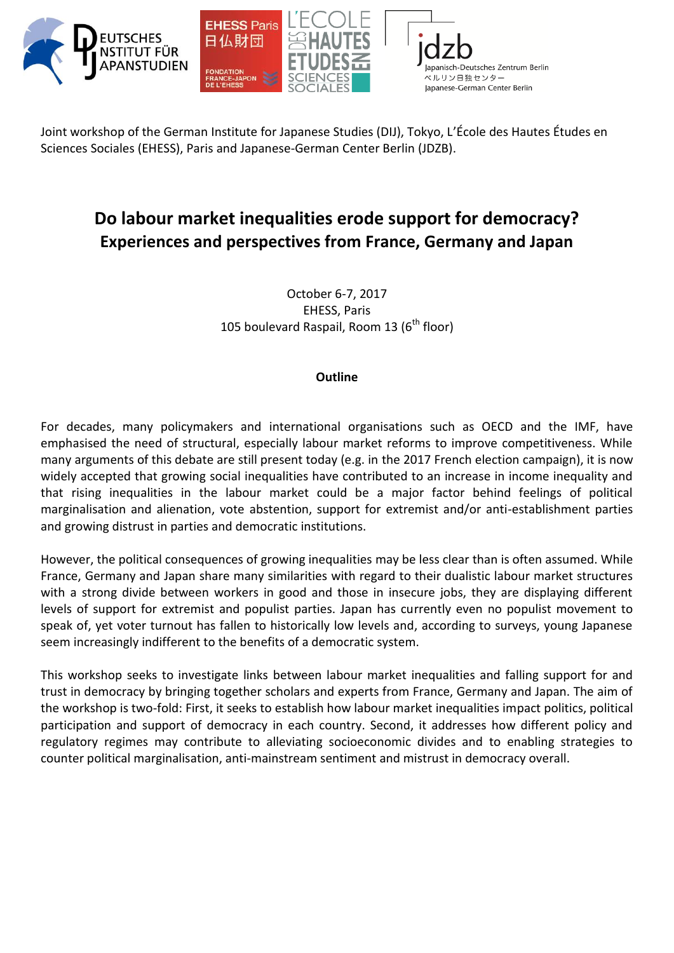

Joint workshop of the German Institute for Japanese Studies (DIJ), Tokyo, L'École des Hautes Études en Sciences Sociales (EHESS), Paris and Japanese-German Center Berlin (JDZB).

## **Do labour market inequalities erode support for democracy? Experiences and perspectives from France, Germany and Japan**

October 6-7, 2017 EHESS, Paris 105 boulevard Raspail, Room 13 ( $6<sup>th</sup>$  floor)

## **Outline**

For decades, many policymakers and international organisations such as OECD and the IMF, have emphasised the need of structural, especially labour market reforms to improve competitiveness. While many arguments of this debate are still present today (e.g. in the 2017 French election campaign), it is now widely accepted that growing social inequalities have contributed to an increase in income inequality and that rising inequalities in the labour market could be a major factor behind feelings of political marginalisation and alienation, vote abstention, support for extremist and/or anti-establishment parties and growing distrust in parties and democratic institutions.

However, the political consequences of growing inequalities may be less clear than is often assumed. While France, Germany and Japan share many similarities with regard to their dualistic labour market structures with a strong divide between workers in good and those in insecure jobs, they are displaying different levels of support for extremist and populist parties. Japan has currently even no populist movement to speak of, yet voter turnout has fallen to historically low levels and, according to surveys, young Japanese seem increasingly indifferent to the benefits of a democratic system.

This workshop seeks to investigate links between labour market inequalities and falling support for and trust in democracy by bringing together scholars and experts from France, Germany and Japan. The aim of the workshop is two-fold: First, it seeks to establish how labour market inequalities impact politics, political participation and support of democracy in each country. Second, it addresses how different policy and regulatory regimes may contribute to alleviating socioeconomic divides and to enabling strategies to counter political marginalisation, anti-mainstream sentiment and mistrust in democracy overall.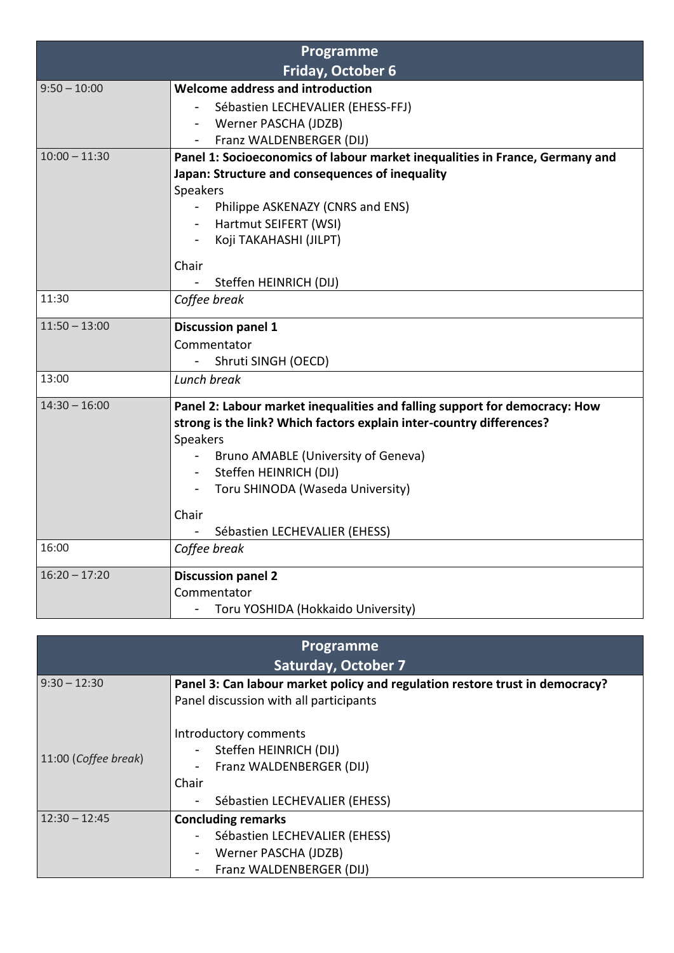| Programme                |                                                                                                                                                    |
|--------------------------|----------------------------------------------------------------------------------------------------------------------------------------------------|
| <b>Friday, October 6</b> |                                                                                                                                                    |
| $9:50 - 10:00$           | Welcome address and introduction                                                                                                                   |
|                          | Sébastien LECHEVALIER (EHESS-FFJ)                                                                                                                  |
|                          | Werner PASCHA (JDZB)                                                                                                                               |
|                          | Franz WALDENBERGER (DIJ)                                                                                                                           |
| $10:00 - 11:30$          | Panel 1: Socioeconomics of labour market inequalities in France, Germany and                                                                       |
|                          | Japan: Structure and consequences of inequality                                                                                                    |
|                          | Speakers                                                                                                                                           |
|                          | Philippe ASKENAZY (CNRS and ENS)                                                                                                                   |
|                          | Hartmut SEIFERT (WSI)                                                                                                                              |
|                          | Koji TAKAHASHI (JILPT)                                                                                                                             |
|                          | Chair                                                                                                                                              |
|                          | Steffen HEINRICH (DIJ)                                                                                                                             |
| 11:30                    | Coffee break                                                                                                                                       |
|                          |                                                                                                                                                    |
| $11:50 - 13:00$          | <b>Discussion panel 1</b>                                                                                                                          |
|                          | Commentator                                                                                                                                        |
|                          | Shruti SINGH (OECD)                                                                                                                                |
| 13:00                    | Lunch break                                                                                                                                        |
| $14:30 - 16:00$          | Panel 2: Labour market inequalities and falling support for democracy: How<br>strong is the link? Which factors explain inter-country differences? |
|                          | Speakers                                                                                                                                           |
|                          | Bruno AMABLE (University of Geneva)                                                                                                                |
|                          | Steffen HEINRICH (DIJ)                                                                                                                             |
|                          | Toru SHINODA (Waseda University)                                                                                                                   |
|                          |                                                                                                                                                    |
|                          | Chair                                                                                                                                              |
|                          | Sébastien LECHEVALIER (EHESS)                                                                                                                      |
| 16:00                    | Coffee break                                                                                                                                       |
| $16:20 - 17:20$          | <b>Discussion panel 2</b>                                                                                                                          |
|                          | Commentator                                                                                                                                        |
|                          | Toru YOSHIDA (Hokkaido University)                                                                                                                 |

| Programme                  |                                                                                                                       |  |
|----------------------------|-----------------------------------------------------------------------------------------------------------------------|--|
| <b>Saturday, October 7</b> |                                                                                                                       |  |
| $9:30 - 12:30$             | Panel 3: Can labour market policy and regulation restore trust in democracy?                                          |  |
|                            | Panel discussion with all participants                                                                                |  |
| 11:00 (Coffee break)       | Introductory comments<br>Steffen HEINRICH (DIJ)<br>Franz WALDENBERGER (DIJ)<br>Chair<br>Sébastien LECHEVALIER (EHESS) |  |
| $12:30 - 12:45$            | <b>Concluding remarks</b>                                                                                             |  |
|                            | Sébastien LECHEVALIER (EHESS)                                                                                         |  |
|                            | Werner PASCHA (JDZB)                                                                                                  |  |
|                            | Franz WALDENBERGER (DIJ)                                                                                              |  |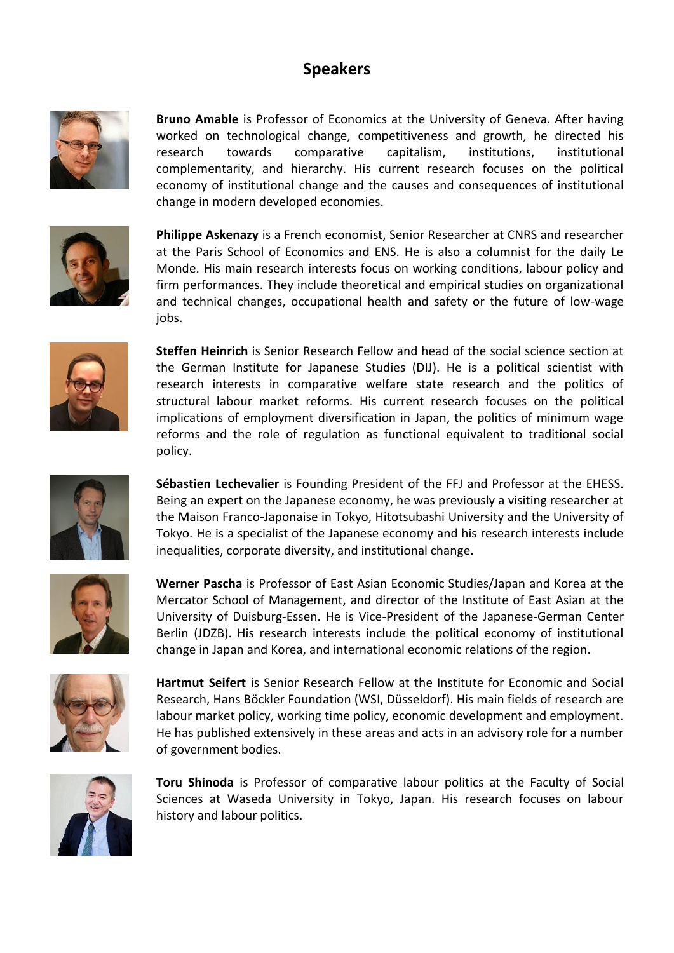## **Speakers**



**Bruno Amable** is Professor of Economics at the University of Geneva. After having worked on technological change, competitiveness and growth, he directed his research towards comparative capitalism, institutions, institutional complementarity, and hierarchy. His current research focuses on the political economy of institutional change and the causes and consequences of institutional change in modern developed economies.



**Philippe Askenazy** is a French economist, Senior Researcher at CNRS and researcher at the Paris School of Economics and ENS. He is also a columnist for the daily Le Monde. His main research interests focus on working conditions, labour policy and firm performances. They include theoretical and empirical studies on organizational and technical changes, occupational health and safety or the future of low-wage jobs.



**Steffen Heinrich** is Senior Research Fellow and head of the social science section at the German Institute for Japanese Studies (DIJ). He is a political scientist with research interests in comparative welfare state research and the politics of structural labour market reforms. His current research focuses on the political implications of employment diversification in Japan, the politics of minimum wage reforms and the role of regulation as functional equivalent to traditional social policy.



**Sébastien Lechevalier** is Founding President of the FFJ and Professor at the EHESS. Being an expert on the Japanese economy, he was previously a visiting researcher at the Maison Franco-Japonaise in Tokyo, Hitotsubashi University and the University of Tokyo. He is a specialist of the Japanese economy and his research interests include inequalities, corporate diversity, and institutional change.



**Werner Pascha** is Professor of East Asian Economic Studies/Japan and Korea at the Mercator School of Management, and director of the Institute of East Asian at the University of Duisburg-Essen. He is Vice-President of the Japanese-German Center Berlin (JDZB). His research interests include the political economy of institutional change in Japan and Korea, and international economic relations of the region.



**Hartmut Seifert** is Senior Research Fellow at the Institute for Economic and Social Research, Hans Böckler Foundation (WSI, Düsseldorf). His main fields of research are labour market policy, working time policy, economic development and employment. He has published extensively in these areas and acts in an advisory role for a number of government bodies.



**Toru Shinoda** is Professor of comparative labour politics at the Faculty of Social Sciences at Waseda University in Tokyo, Japan. His research focuses on labour history and labour politics.